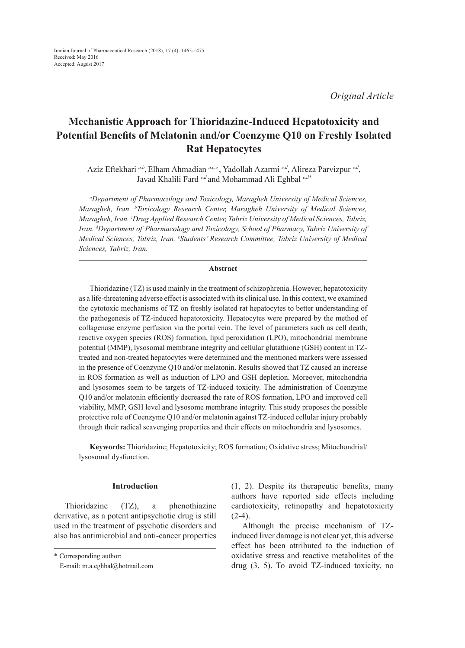*Original Article*

# **Mechanistic Approach for Thioridazine-Induced Hepatotoxicity and Potential Benefits of Melatonin and/or Coenzyme Q10 on Freshly Isolated Rat Hepatocytes**

Aziz Eftekhari <sup>a,b</sup>, Elham Ahmadian <sup>a,c,e</sup>, Yadollah Azarmi <sup>c,d</sup>, Alireza Parvizpur <sup>c,d</sup>, Javad Khalili Fard *c,d* and Mohammad Ali Eghbal *c,d\**

*a Department of Pharmacology and Toxicology, Maragheh University of Medical Sciences, Maragheh, Iran. b Toxicology Research Center, Maragheh University of Medical Sciences, Maragheh, Iran. c Drug Applied Research Center, Tabriz University of Medical Sciences, Tabriz, Iran. d Department of Pharmacology and Toxicology, School of Pharmacy, Tabriz University of Medical Sciences, Tabriz, Iran.* <sup>e</sup> *Students' Research Committee, Tabriz University of Medical Sciences, Tabriz, Iran.*

# **Abstract**

Thioridazine (TZ) is used mainly in the treatment of schizophrenia. However, hepatotoxicity as a life-threatening adverse effect is associated with its clinical use. In this context, we examined the cytotoxic mechanisms of TZ on freshly isolated rat hepatocytes to better understanding of the pathogenesis of TZ-induced hepatotoxicity. Hepatocytes were prepared by the method of collagenase enzyme perfusion via the portal vein. The level of parameters such as cell death, reactive oxygen species (ROS) formation, lipid peroxidation (LPO), mitochondrial membrane potential (MMP), lysosomal membrane integrity and cellular glutathione (GSH) content in TZtreated and non-treated hepatocytes were determined and the mentioned markers were assessed in the presence of Coenzyme Q10 and/or melatonin. Results showed that TZ caused an increase in ROS formation as well as induction of LPO and GSH depletion. Moreover, mitochondria and lysosomes seem to be targets of TZ-induced toxicity. The administration of Coenzyme Q10 and/or melatonin efficiently decreased the rate of ROS formation, LPO and improved cell viability, MMP, GSH level and lysosome membrane integrity. This study proposes the possible protective role of Coenzyme Q10 and/or melatonin against TZ-induced cellular injury probably through their radical scavenging properties and their effects on mitochondria and lysosomes.

**Keywords:** Thioridazine; Hepatotoxicity; ROS formation; Oxidative stress; Mitochondrial/ lysosomal dysfunction.

## **Introduction**

Thioridazine (TZ), a phenothiazine derivative, as a potent antipsychotic drug is still used in the treatment of psychotic disorders and also has antimicrobial and anti-cancer properties

\* Corresponding author:

(1, 2). Despite its therapeutic benefits, many authors have reported side effects including cardiotoxicity, retinopathy and hepatotoxicity  $(2-4)$ .

Although the precise mechanism of TZinduced liver damage is not clear yet, this adverse effect has been attributed to the induction of oxidative stress and reactive metabolites of the drug (3, 5). To avoid TZ-induced toxicity, no

E-mail: m.a.eghbal@hotmail.com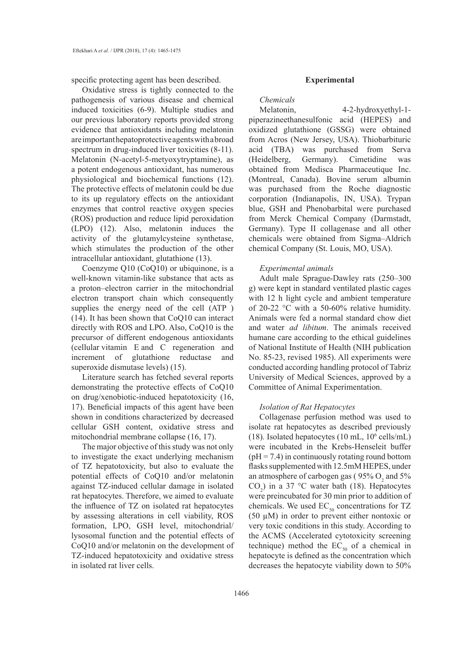specific protecting agent has been described.

Oxidative stress is tightly connected to the pathogenesis of various disease and chemical induced toxicities (6-9). Multiple studies and our previous laboratory reports provided strong evidence that antioxidants including melatonin are important hepatoprotective agents with a broad spectrum in drug-induced liver toxicities (8-11). Melatonin (N-acetyl-5-metyoxytryptamine), as a potent endogenous antioxidant, has numerous physiological and biochemical functions (12). The protective effects of melatonin could be due to its up regulatory effects on the antioxidant enzymes that control reactive oxygen species (ROS) production and reduce lipid peroxidation (LPO) (12). Also, melatonin induces the activity of the glutamylcysteine synthetase, which stimulates the production of the other intracellular antioxidant, glutathione (13).

Coenzyme Q10 (CoQ10) or ubiquinone, is a well-known vitamin-like substance that acts as a proton–electron carrier in the mitochondrial electron transport chain which consequently supplies the energy need of the cell (ATP ) (14). It has been shown that CoQ10 can interact directly with ROS and LPO. Also, CoQ10 is the precursor of different endogenous antioxidants (cellular vitamin E and C regeneration and increment of glutathione reductase and superoxide dismutase levels) (15).

Literature search has fetched several reports demonstrating the protective effects of CoQ10 on drug/xenobiotic-induced hepatotoxicity (16, 17). Beneficial impacts of this agent have been shown in conditions characterized by decreased cellular GSH content, oxidative stress and mitochondrial membrane collapse (16, 17).

The major objective of this study was not only to investigate the exact underlying mechanism of TZ hepatotoxicity, but also to evaluate the potential effects of CoQ10 and/or melatonin against TZ-induced cellular damage in isolated rat hepatocytes. Therefore, we aimed to evaluate the influence of TZ on isolated rat hepatocytes by assessing alterations in cell viability, ROS formation, LPO, GSH level, mitochondrial/ lysosomal function and the potential effects of CoQ10 and/or melatonin on the development of TZ-induced hepatotoxicity and oxidative stress in isolated rat liver cells.

#### **Experimental**

*Chemicals*

Melatonin, 4-2-hydroxyethyl-1 piperazineethanesulfonic acid (HEPES) and oxidized glutathione (GSSG) were obtained from Acros (New Jersey, USA). Thiobarbituric acid (TBA) was purchased from Serva (Heidelberg, Germany). Cimetidine was obtained from Medisca Pharmaceutique Inc. (Montreal, Canada). Bovine serum albumin was purchased from the Roche diagnostic corporation (Indianapolis, IN, USA). Trypan blue, GSH and Phenobarbital were purchased from Merck Chemical Company (Darmstadt, Germany). Type II collagenase and all other chemicals were obtained from Sigma–Aldrich chemical Company (St. Louis, MO, USA).

## *Experimental animals*

Adult male Sprague-Dawley rats (250–300 g) were kept in standard ventilated plastic cages with 12 h light cycle and ambient temperature of 20-22 °C with a 50-60% relative humidity. Animals were fed a normal standard chow diet and water *ad libitum*. The animals received humane care according to the ethical guidelines of National Institute of Health (NIH publication No. 85-23, revised 1985). All experiments were conducted according handling protocol of Tabriz University of Medical Sciences, approved by a Committee of Animal Experimentation.

## *Isolation of Rat Hepatocytes*

Collagenase perfusion method was used to isolate rat hepatocytes as described previously  $(18)$ . Isolated hepatocytes  $(10 \text{ mL}, 10^6 \text{ cells/mL})$ were incubated in the Krebs-Henseleit buffer  $(pH = 7.4)$  in continuously rotating round bottom flasks supplemented with 12.5mM HEPES, under an atmosphere of carbogen gas ( $95\%$  O<sub>2</sub> and  $5\%$  $CO<sub>2</sub>$ ) in a 37 °C water bath (18). Hepatocytes were preincubated for 30 min prior to addition of chemicals. We used  $EC_{50}$  concentrations for TZ (50  $\mu$ M) in order to prevent either nontoxic or very toxic conditions in this study. According to the ACMS (Accelerated cytotoxicity screening technique) method the  $EC_{50}$  of a chemical in hepatocyte is defined as the concentration which decreases the hepatocyte viability down to 50%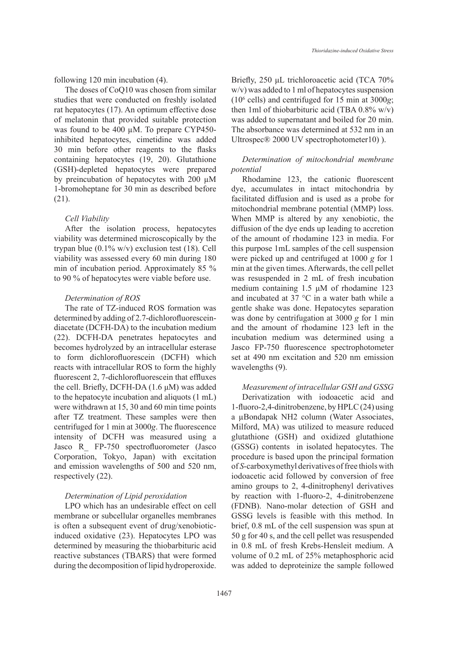following 120 min incubation (4).

The doses of CoQ10 was chosen from similar studies that were conducted on freshly isolated rat hepatocytes (17). An optimum effective dose of melatonin that provided suitable protection was found to be 400 µM. To prepare CYP450 inhibited hepatocytes, cimetidine was added 30 min before other reagents to the flasks containing hepatocytes (19, 20). Glutathione (GSH)-depleted hepatocytes were prepared by preincubation of hepatocytes with 200 µM 1-bromoheptane for 30 min as described before (21).

#### *Cell Viability*

After the isolation process, hepatocytes viability was determined microscopically by the trypan blue (0.1% w/v) exclusion test (18). Cell viability was assessed every 60 min during 180 min of incubation period. Approximately 85 % to 90 % of hepatocytes were viable before use.

#### *Determination of ROS*

The rate of TZ-induced ROS formation was determined by adding of 2.7-dichlorofluoresceindiacetate (DCFH-DA) to the incubation medium (22). DCFH-DA penetrates hepatocytes and becomes hydrolyzed by an intracellular esterase to form dichlorofluorescein (DCFH) which reacts with intracellular ROS to form the highly fluorescent 2, 7-dichlorofluorescein that effluxes the cell. Briefly, DCFH-DA (1.6 μM) was added to the hepatocyte incubation and aliquots (1 mL) were withdrawn at 15, 30 and 60 min time points after TZ treatment. These samples were then centrifuged for 1 min at 3000*g*. The fluorescence intensity of DCFH was measured using a Jasco R\_ FP-750 spectrofluorometer (Jasco Corporation, Tokyo, Japan) with excitation and emission wavelengths of 500 and 520 nm, respectively (22).

## *Determination of Lipid peroxidation*

LPO which has an undesirable effect on cell membrane or subcellular organelles membranes is often a subsequent event of drug/xenobioticinduced oxidative (23). Hepatocytes LPO was determined by measuring the thiobarbituric acid reactive substances (TBARS) that were formed during the decomposition of lipid hydroperoxide. Briefly, 250 μL trichloroacetic acid (TCA 70% w/v) was added to 1 ml of hepatocytes suspension (106 cells) and centrifuged for 15 min at 3000*g*; then 1ml of thiobarbituric acid (TBA  $0.8\%$  w/v) was added to supernatant and boiled for 20 min. The absorbance was determined at 532 nm in an Ultrospec®  $2000$  UV spectrophotometer10).

# *Determination of mitochondrial membrane potential*

Rhodamine 123, the cationic fluorescent dye, accumulates in intact mitochondria by facilitated diffusion and is used as a probe for mitochondrial membrane potential (MMP) loss. When MMP is altered by any xenobiotic, the diffusion of the dye ends up leading to accretion of the amount of rhodamine 123 in media. For this purpose 1mL samples of the cell suspension were picked up and centrifuged at 1000 *g* for 1 min at the given times. Afterwards, the cell pellet was resuspended in 2 mL of fresh incubation medium containing 1.5 μM of rhodamine 123 and incubated at 37 °C in a water bath while a gentle shake was done. Hepatocytes separation was done by centrifugation at 3000 *g* for 1 min and the amount of rhodamine 123 left in the incubation medium was determined using a Jasco FP-750 fluorescence spectrophotometer set at 490 nm excitation and 520 nm emission wavelengths (9).

#### *Measurement of intracellular GSH and GSSG*

Derivatization with iodoacetic acid and 1-fluoro-2,4-dinitrobenzene, by HPLC (24) using a µBondapak NH2 column (Water Associates, Milford, MA) was utilized to measure reduced glutathione (GSH) and oxidized glutathione (GSSG) contents in isolated hepatocytes. The procedure is based upon the principal formation of *S*-carboxymethyl derivatives of free thiols with iodoacetic acid followed by conversion of free amino groups to 2, 4-dinitrophenyl derivatives by reaction with 1-fluoro-2, 4-dinitrobenzene (FDNB). Nano-molar detection of GSH and GSSG levels is feasible with this method. In brief, 0.8 mL of the cell suspension was spun at 50 g for 40 s, and the cell pellet was resuspended in 0.8 mL of fresh Krebs-Hensleit medium. A volume of 0.2 mL of 25% metaphosphoric acid was added to deproteinize the sample followed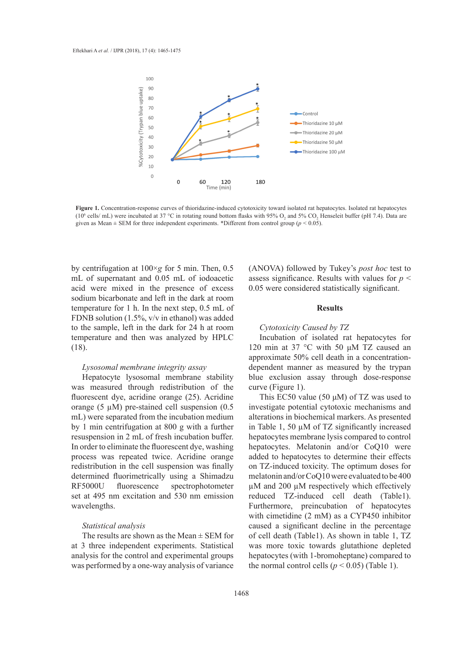

Figure 1. Concentration-response curves of thioridazine-induced cytotoxicity toward isolated rat hepatocytes. Isolated rat hepatocytes (10<sup>6</sup> cells/ mL) were incubated at 37 °C in rotating round bottom flasks with 95% O<sub>2</sub> and 5% CO<sub>2</sub> Henseleit buffer (pH 7.4). Data are given as Mean  $\pm$  SEM for three independent experiments. \*Different from control group ( $p$  < 0.05).

by centrifugation at 100×*g* for 5 min. Then, 0.5 mL of supernatant and 0.05 mL of iodoacetic acid were mixed in the presence of excess sodium bicarbonate and left in the dark at room temperature for 1 h. In the next step, 0.5 mL of FDNB solution (1.5%, v/v in ethanol) was added to the sample, left in the dark for 24 h at room temperature and then was analyzed by HPLC (18).

#### *Lysosomal membrane integrity assay*

Hepatocyte lysosomal membrane stability was measured through redistribution of the fluorescent dye, acridine orange (25). Acridine orange (5  $\mu$ M) pre-stained cell suspension (0.5) mL) were separated from the incubation medium by 1 min centrifugation at 800 g with a further resuspension in 2 mL of fresh incubation buffer. In order to eliminate the fluorescent dye, washing process was repeated twice. Acridine orange redistribution in the cell suspension was finally determined fluorimetrically using a Shimadzu RF5000U fluorescence spectrophotometer set at 495 nm excitation and 530 nm emission wavelengths.

#### *Statistical analysis*

The results are shown as the Mean  $\pm$  SEM for at 3 three independent experiments. Statistical analysis for the control and experimental groups was performed by a one-way analysis of variance

(ANOVA) followed by Tukey's *post hoc* test to assess significance. Results with values for *p* < 0.05 were considered statistically significant.

## **Results**

#### *Cytotoxicity Caused by TZ*

Incubation of isolated rat hepatocytes for 120 min at 37 °C with 50 μM TZ caused an approximate 50% cell death in a concentrationdependent manner as measured by the trypan blue exclusion assay through dose-response curve (Figure 1).

This EC50 value (50  $\mu$ M) of TZ was used to investigate potential cytotoxic mechanisms and alterations in biochemical markers. As presented in Table 1, 50 µM of TZ significantly increased hepatocytes membrane lysis compared to control hepatocytes. Melatonin and/or CoQ10 were added to hepatocytes to determine their effects on TZ-induced toxicity. The optimum doses for melatonin and/or CoQ10 were evaluated to be 400 µM and 200 µM respectively which effectively reduced TZ-induced cell death (Table1). Furthermore, preincubation of hepatocytes with cimetidine (2 mM) as a CYP450 inhibitor caused a significant decline in the percentage of cell death (Table1). As shown in table 1, TZ was more toxic towards glutathione depleted hepatocytes (with 1-bromoheptane) compared to the normal control cells ( $p < 0.05$ ) (Table 1).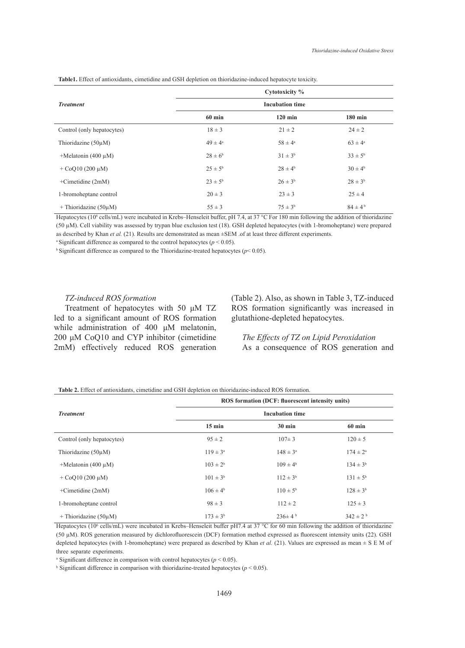|                               | Cytotoxicity %         |                    |                    |  |  |
|-------------------------------|------------------------|--------------------|--------------------|--|--|
| <b>Treatment</b>              | <b>Incubation time</b> |                    |                    |  |  |
|                               | $60$ min               | $120 \text{ min}$  | $180 \text{ min}$  |  |  |
| Control (only hepatocytes)    | $18 \pm 3$             | $21 \pm 2$         | $24 \pm 2$         |  |  |
| Thioridazine $(50\mu M)$      | $49 \pm 4^a$           | $58 \pm 4^{\circ}$ | $63 \pm 4^{\circ}$ |  |  |
| $+$ Melatonin (400 µM)        | $28 \pm 6^6$           | $31 \pm 3^{6}$     | $33 \pm 5^{\rm b}$ |  |  |
| $+$ CoQ10 (200 $\mu$ M)       | $25 \pm 5^{\rm b}$     | $28 \pm 4^{\rm b}$ | $30 \pm 4^{\rm b}$ |  |  |
| $+$ Cimetidine (2mM)          | $23 \pm 5^{\rm b}$     | $26 \pm 3^{6}$     | $28 \pm 3^{6}$     |  |  |
| 1-bromoheptane control        | $20 \pm 3$             | $23 \pm 3$         | $25 \pm 4$         |  |  |
| $+$ Thioridazine (50 $\mu$ M) | $55 \pm 3$             | $75 \pm 3^b$       | $84 \pm 4^{\rm b}$ |  |  |

**Table1.** Effect of antioxidants, cimetidine and GSH depletion on thioridazine-induced hepatocyte toxicity.

Hepatocytes (10<sup>6</sup> cells/mL) were incubated in Krebs–Henseleit buffer, pH 7.4, at 37 °C For 180 min following the addition of thioridazine (50 µM). Cell viability was assessed by trypan blue exclusion test (18). GSH depleted hepatocytes (with 1-bromoheptane) were prepared as described by Khan *et al.* (21). Results are demonstrated as mean  $\pm$ SEM .of at least three different experiments.

<sup>a</sup> Significant difference as compared to the control hepatocytes ( $p < 0.05$ ).

<sup>b</sup> Significant difference as compared to the Thioridazine-treated hepatocytes ( $p$ < 0.05).

#### *TZ-induced ROS formation*

Treatment of hepatocytes with 50 μM TZ led to a significant amount of ROS formation while administration of 400 μM melatonin, 200 μM CoQ10 and CYP inhibitor (cimetidine 2mM) effectively reduced ROS generation (Table 2). Also, as shown in Table 3, TZ-induced ROS formation significantly was increased in glutathione-depleted hepatocytes.

*The Effects of TZ on Lipid Peroxidation* As a consequence of ROS generation and

**Table 2.** Effect of antioxidants, cimetidine and GSH depletion on thioridazine-induced ROS formation.

|                               | ROS formation (DCF: fluorescent intensity units) |                     |                     |  |  |  |
|-------------------------------|--------------------------------------------------|---------------------|---------------------|--|--|--|
| <b>Treatment</b>              | <b>Incubation time</b>                           |                     |                     |  |  |  |
|                               | $15 \text{ min}$                                 | $30 \text{ min}$    | $60 \text{ min}$    |  |  |  |
| Control (only hepatocytes)    | $95 \pm 2$                                       | $107 \pm 3$         | $120 \pm 5$         |  |  |  |
| Thioridazine (50µM)           | $119 \pm 3^a$                                    | $148 \pm 3^{\circ}$ | $174 \pm 2^{\rm a}$ |  |  |  |
| $+$ Melatonin (400 µM)        | $103 \pm 2^{6}$                                  | $109 \pm 4^{\rm b}$ | $134 \pm 3^{6}$     |  |  |  |
| $+$ CoO10 (200 $\mu$ M)       | $101 \pm 3^{b}$                                  | $112 \pm 3^b$       | $131 \pm 5^b$       |  |  |  |
| $+$ Cimetidine (2mM)          | $106 \pm 4^{\rm b}$                              | $110 \pm 5^{\rm b}$ | $128 \pm 3^{6}$     |  |  |  |
| 1-bromoheptane control        | $98 \pm 3$                                       | $112 \pm 2$         | $125 \pm 3$         |  |  |  |
| $+$ Thioridazine (50 $\mu$ M) | $173 \pm 3^{b}$                                  | $236 \pm 4^{\circ}$ | $342 \pm 2^{b}$     |  |  |  |

Hepatocytes (10<sup>6</sup> cells/mL) were incubated in Krebs–Henseleit buffer pH7.4 at 37 °C for 60 min following the addition of thioridazine (50 µM). ROS generation measured by dichlorofluorescein (DCF) formation method expressed as fluorescent intensity units (22). GSH depleted hepatocytes (with 1-bromoheptane) were prepared as described by Khan *et al.* (21). Values are expressed as mean  $\pm$  S E M of three separate experiments.

<sup>a</sup> Significant difference in comparison with control hepatocytes ( $p < 0.05$ ).

<sup>b</sup> Significant difference in comparison with thioridazine-treated hepatocytes ( $p < 0.05$ ).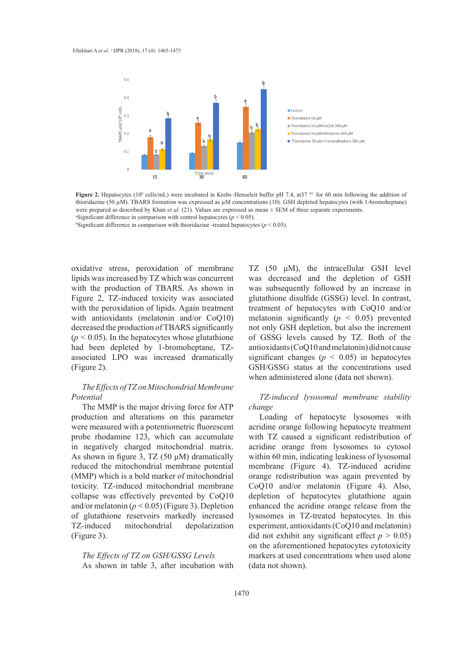

**Figure 2.** Hepatocytes (10<sup>6</sup> cells/mL) were incubated in Krebs–Henseleit buffer pH 7.4, at 37  $\degree$  for 60 min following the addition of thioridazine (50 µM). TBARS formation was expressed as µM concentrations (10). GSH depleted hepatocytes (with 1-bromoheptane) were prepared as described by Khan *et al*. (21). Values are expressed as mean ± SEM of three separate experiments. a Significant difference in comparison with control hepatocytes (*p* < 0.05).

<sup>b</sup>Significant difference in comparison with thioridazine -treated hepatocytes ( $p < 0.05$ ).

oxidative stress, peroxidation of membrane lipids was increased by TZ which was concurrent with the production of TBARS. As shown in Figure 2, TZ-induced toxicity was associated with the peroxidation of lipids. Again treatment with antioxidants (melatonin and/or CoQ10) decreased the production of TBARS significantly  $(p < 0.05)$ . In the hepatocytes whose glutathione had been depleted by 1-bromoheptane, TZassociated LPO was increased dramatically (Figure 2).

# *The Effects of TZ on Mitochondrial Membrane Potential*

The MMP is the major driving force for ATP production and alterations on this parameter were measured with a potentiometric fluorescent probe rhodamine 123, which can accumulate in negatively charged mitochondrial matrix. As shown in figure 3, TZ (50  $\mu$ M) dramatically reduced the mitochondrial membrane potential (MMP) which is a bold marker of mitochondrial toxicity. TZ-induced mitochondrial membrane collapse was effectively prevented by CoQ10 and/or melatonin  $(p < 0.05)$  (Figure 3). Depletion of glutathione reservoirs markedly increased TZ-induced mitochondrial depolarization (Figure 3).

*The Effects of TZ on GSH/GSSG Levels* As shown in table 3, after incubation with TZ (50 μM), the intracellular GSH level was decreased and the depletion of GSH was subsequently followed by an increase in glutathione disulfide (GSSG) level. In contrast, treatment of hepatocytes with CoQ10 and/or melatonin significantly  $(p < 0.05)$  prevented not only GSH depletion, but also the increment of GSSG levels caused by TZ. Both of the antioxidants (CoQ10 and melatonin) did not cause significant changes ( $p < 0.05$ ) in hepatocytes GSH/GSSG status at the concentrations used when administered alone (data not shown).

*TZ-induced lysosomal membrane stability change*

Loading of hepatocyte lysosomes with acridine orange following hepatocyte treatment with TZ caused a significant redistribution of acridine orange from lysosomes to cytosol within 60 min, indicating leakiness of lysosomal membrane (Figure 4). TZ-induced acridine orange redistribution was again prevented by CoQ10 and/or melatonin (Figure 4). Also, depletion of hepatocytes glutathione again enhanced the acridine orange release from the lysosomes in TZ-treated hepatocytes. In this experiment, antioxidants (CoQ10 and melatonin) did not exhibit any significant effect  $p > 0.05$ ) on the aforementioned hepatocytes cytotoxicity markers at used concentrations when used alone (data not shown).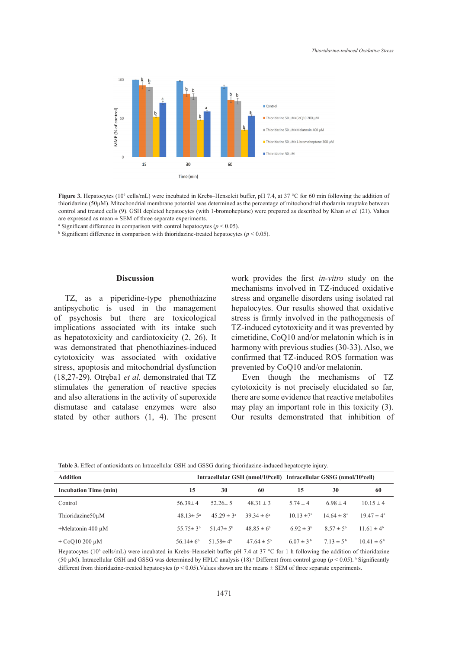

**Figure 3.** Hepatocytes (10<sup>6</sup> cells/mL) were incubated in Krebs–Henseleit buffer, pH 7.4, at 37 °C for 60 min following the addition of thioridazine (50µM). Mitochondrial membrane potential was determined as the percentage of mitochondrial rhodamin reuptake between control and treated cells (9). GSH depleted hepatocytes (with 1-bromoheptane) were prepared as described by Khan et al. (21). Values are expressed as mean  $\pm$  SEM of three separate experiments.

<sup>a</sup> Significant difference in comparison with control hepatocytes ( $p < 0.05$ ).

 $\frac{1}{2}$  Significant difference in comparison with thioridazine-treated hepatocytes ( $p < 0.05$ ).  $\sin\left(\frac{\pi}{6}\right)$  is comparison with difference in calculate hepatocytes  $(p \sim 0.05)$ .

#### **Discussion**

TZ, as a piperidine-type phenothiazine antipsychotic is used in the management of psychosis but there are toxicological implications associated with its intake such as hepatotoxicity and cardiotoxicity (2, 26). It was demonstrated that phenothiazines-induced cytotoxicity was associated with oxidative stress, apoptosis and mitochondrial dysfunction (18,27-29). Otręba1 *et al.* demonstrated that TZ 13 stimulates the generation of reactive species and also alterations in the activity of superoxide dismutase and catalase enzymes were also stated by other authors (1, 4). The present

**Discussion** work provides the first *in-vitro* study on the mechanisms involved in TZ-induced oxidative stress and organelle disorders using isolated rat and previous phenothiazine stress and organelle disorders using isolated rat tic is used in the management hepatocytes. Our results showed that oxidative osis but there are toxicological stress is firmly involved in the pathogenesis of TZ-induced cytotoxicity and it was prevented by concentration of the metal contration of the metal concentration of the concentration of the concentration of the concentration of the concentration of the concentration of the concentration of the concentration of the con harmony with previous studies (30-33). Also, we confirmed that TZ-induced ROS formation was prevented by CoQ10 and/or melatonin.

> Even though the mechanisms of TZ cytotoxicity is not precisely elucidated so far, there are some evidence that reactive metabolites may play an important role in this toxicity (3). Our results demonstrated that inhibition of

| Table 3. Effect of antioxidants on Intracellular GSH and GSSG during thioridazine-induced hepatocyte injury. |  |  |
|--------------------------------------------------------------------------------------------------------------|--|--|
|--------------------------------------------------------------------------------------------------------------|--|--|

| <b>Addition</b>              |                            |                            |                       | Intracellular GSH (nmol/10 <sup>6</sup> cell) Intracellular GSSG (nmol/10 <sup>6</sup> cell) |                      |                   |
|------------------------------|----------------------------|----------------------------|-----------------------|----------------------------------------------------------------------------------------------|----------------------|-------------------|
| <b>Incubation Time (min)</b> | 15                         | 30                         | 60                    | 15                                                                                           | 30                   | 60                |
| Control                      | $56.39 \pm 4$              | $52.26 \pm 5$              | $48.31 \pm 3$         | $5.74 \pm 4$                                                                                 | $6.98 \pm 4$         | $10.15 \pm 4$     |
| Thioridazine50uM             | $48.13 \pm 5^{\circ}$      | $45.29 \pm 3^a$            | $39.34 \pm 6^{\circ}$ | $10.13 \pm 7^*$                                                                              | $14.64 \pm 8^*$      | $19.47 \pm 4^*$   |
| $+$ Melatonin 400 µM         | 55.75 $\pm$ 3 <sup>b</sup> | 51.47 $\pm$ 5 <sup>b</sup> | $48.85 \pm 6^b$       | 6.92 $\pm$ 3 <sup>b</sup>                                                                    | $8.57 \pm 5^{\rm b}$ | $11.61 \pm 4^b$   |
| $+$ CoO10 200 $\mu$ M        | 56.14 $\pm$ 6 <sup>b</sup> | 51.58 $\pm$ 4 <sup>b</sup> | $47.64 \pm 5^{\rm b}$ | $6.07 \pm 3^{b}$                                                                             | $713 \pm 5^{6}$      | $10.41 \pm 6^{b}$ |

Hepatocytes (10<sup>6</sup> cells/mL) were incubated in Krebs–Henseleit buffer pH 7.4 at 37 °C for 1 h following the addition of thioridazine (50  $\mu$ M). Intracellular GSH and GSSG was determined by HPLC analysis (18).<sup>a</sup> Different from control group ( $p$  < 0.05). <sup>b</sup> Significantly different from thioridazine-treated hepatocytes ( $p < 0.05$ ). Values shown are the means  $\pm$  SEM of three separate experiments.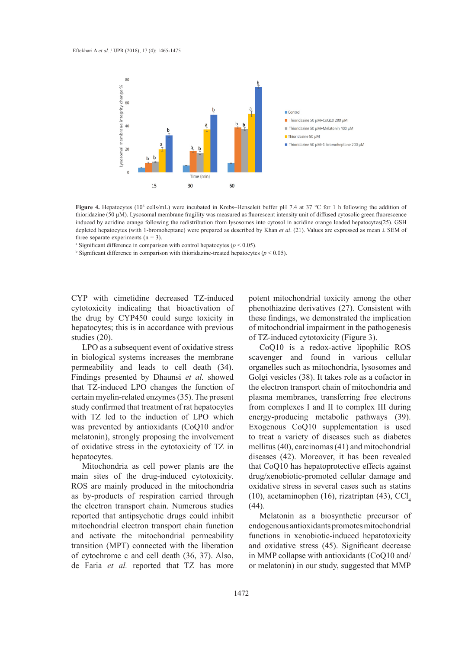

mated by actionic otange following the reutstribution from tysosomes mio cytosof in actionic otange loaded nepatocytes( $\angle$ ). GSH depleted hepatocytes (with 1-bromoheptane) were prepared as described by Khan *et al.* (21)  $f(x) = \frac{1}{2}$  for  $\frac{1}{2}$  and  $\frac{1}{2}$  in the separate experiments (n = 3). **Figure 4.** Hepatocytes (10<sup>6</sup> cells/mL) were incubated in Krebs–Henseleit buffer pH 7.4 at 37 °C for 1 h following the addition of thioridazine (50 µM). Lysosomal membrane fragility was measured as fluorescent intensity unit of diffused cytosolic green fluorescence induced by acridine orange following the redistribution from lysosomes into cytosol in acridine orange loaded hepatocytes(25). GSH

<sup>a</sup> Significant difference in comparison with control hepatocytes ( $p$  < 0.05).

<sup>b</sup> Significant difference in comparison with thioridazine-treated hepatocytes ( $p$  < 0.05).

CYP with cimetidine decreased TZ-induced potent mitochondrial toxicity cytotoxicity indicating that bioactivation of the drug by CYP450 could surge toxicity in hepatocytes; this is in accordance with previous studies (20) studies (20).

LPO as a subsequent event of oxidative stress  $CoQ10$  is a redox-active lipophilic in biological systems increases the membrane permeability and leads to cell death (34). organelles such as mitochondria, lysoson Findings presented by Dhaunsi *et al.* showed that TZ-induced LPO changes the function of the electron transport chain of mitochond certain myelin-related enzymes (35). The present study confirmed that treatment of rat hepatocytes with TZ led to the induction of LPO which was prevented by antioxidants (CoQ10 and/or melatonin), strongly proposing the involvement of oxidative stress in the cytotoxicity of TZ in hepatocytes.

Mitochondria as cell power plants are the main sites of the drug-induced cytotoxicity. ROS are mainly produced in the mitochondria as by-products of respiration carried through the electron transport chain. Numerous studies reported that antipsychotic drugs could inhibit mitochondrial electron transport chain function and activate the mitochondrial permeability transition (MPT) connected with the liberation of cytochrome c and cell death (36, 37). Also, de Faria *et al.* reported that TZ has more

potent mitochondrial toxicity among the other phenothiazine derivatives (27). Consistent with these findings, we demonstrated the implication of mitochondrial impairment in the pathogenesis of TZ-induced cytotoxicity (Figure 3).

CoQ10 is a redox-active lipophilic ROS scavenger and found in various cellular organelles such as mitochondria, lysosomes and Golgi vesicles (38). It takes role as a cofactor in the electron transport chain of mitochondria and plasma membranes, transferring free electrons from complexes I and II to complex III during energy-producing metabolic pathways (39). Exogenous CoQ10 supplementation is used to treat a variety of diseases such as diabetes mellitus (40), carcinomas (41) and mitochondrial diseases (42). Moreover, it has been revealed that CoQ10 has hepatoprotective effects against drug/xenobiotic-promoted cellular damage and oxidative stress in several cases such as statins (10), acetaminophen (16), rizatriptan (43),  $\text{CCI}_{4}$ (44).

Melatonin as a biosynthetic precursor of endogenous antioxidants promotes mitochondrial functions in xenobiotic-induced hepatotoxicity and oxidative stress (45). Significant decrease in MMP collapse with antioxidants (CoQ10 and/ or melatonin) in our study, suggested that MMP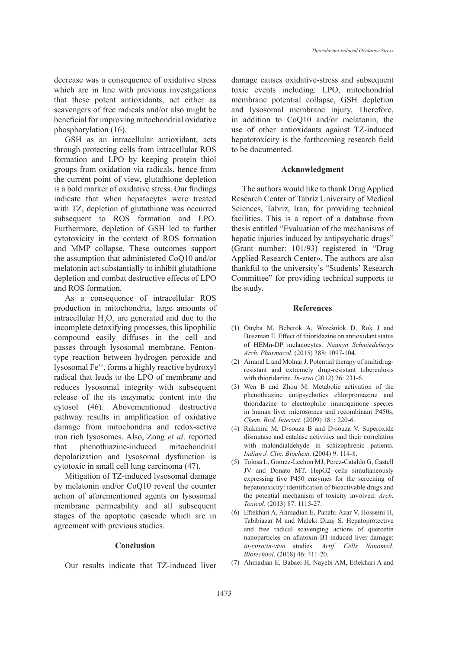decrease was a consequence of oxidative stress which are in line with previous investigations that these potent antioxidants, act either as scavengers of free radicals and/or also might be beneficial for improving mitochondrial oxidative phosphorylation (16).

GSH as an intracellular antioxidant, acts through protecting cells from intracellular ROS formation and LPO by keeping protein thiol groups from oxidation via radicals, hence from the current point of view, glutathione depletion is a bold marker of oxidative stress. Our findings indicate that when hepatocytes were treated with TZ, depletion of glutathione was occurred subsequent to ROS formation and LPO. Furthermore, depletion of GSH led to further cytotoxicity in the context of ROS formation and MMP collapse. These outcomes support the assumption that administered CoQ10 and/or melatonin act substantially to inhibit glutathione depletion and combat destructive effects of LPO and ROS formation.

As a consequence of intracellular ROS production in mitochondria, large amounts of intracellular  $H_2O_2$  are generated and due to the incomplete detoxifying processes, this lipophilic compound easily diffuses in the cell and passes through lysosomal membrane. Fentontype reaction between hydrogen peroxide and lysosomal Fe3+, forms a highly reactive hydroxyl radical that leads to the LPO of membrane and reduces lysosomal integrity with subsequent release of the its enzymatic content into the cytosol (46). Abovementioned destructive pathway results in amplification of oxidative damage from mitochondria and redox-active iron rich lysosomes. Also, Zong *et al*. reported that phenothiazine-induced mitochondrial depolarization and lysosomal dysfunction is cytotoxic in small cell lung carcinoma (47).

Mitigation of TZ-induced lysosomal damage by melatonin and/or CoQ10 reveal the counter action of aforementioned agents on lysosomal membrane permeability and all subsequent stages of the apoptotic cascade which are in agreement with previous studies.

#### **Conclusion**

Our results indicate that TZ-induced liver

damage causes oxidative-stress and subsequent toxic events including: LPO, mitochondrial membrane potential collapse, GSH depletion and lysosomal membrane injury. Therefore, in addition to CoQ10 and/or melatonin, the use of other antioxidants against TZ-induced hepatotoxicity is the forthcoming research field to be documented.

#### **Acknowledgment**

The authors would like to thank Drug Applied Research Center of Tabriz University of Medical Sciences, Tabriz, Iran, for providing technical facilities. This is a report of a database from thesis entitled "Evaluation of the mechanisms of hepatic injuries induced by antipsychotic drugs" (Grant number: 101/93) registered in "Drug Applied Research Center». The authors are also thankful to the university's "Students' Research Committee" for providing technical supports to the study.

#### **References**

- Otręba M, Beberok A, Wrześniok D, Rok J and (1) Buszman E. Effect of thioridazine on antioxidant status of HEMn-DP melanocytes. *Naunyn Schmiedebergs Arch. Pharmacol*. (2015) 388: 1097-104.
- Amaral L and Molnar J. Potential therapy of multidrug-(2) resistant and extremely drug-resistant tuberculosis with thioridazine. *In-vivo* (2012) 26: 231-6.
- Wen B and Zhou M. Metabolic activation of the (3) phenothiazine antipsychotics chlorpromazine and thioridazine to electrophilic iminoquinone species in human liver microsomes and recombinant P450s. *Chem. Biol. Interact*. (2009) 181: 220-6.
- Rukmini M, D›souza B and D›souza V. Superoxide (4) dismutase and catalase activities and their correlation with malondialdehyde in schizophrenic patients. *Indian J. Clin. Biochem*. (2004) 9: 114-8.
- (5) Tolosa L, Gomez-Lechon MJ, Perez-Cataldo G, Castell JV and Donato MT. HepG2 cells simultaneously expressing five P450 enzymes for the screening of hepatotoxicity: identification of bioactivable drugs and the potential mechanism of toxicity involved. *Arch. Toxicol*. (2013) 87: 1115-27.
- Eftekhari A, Ahmadian E, Panahi-Azar V, Hosseini H, (6) Tabibiazar M and Maleki Dizaj S. Hepatoprotective and free radical scavenging actions of quercetin nanoparticles on aflatoxin B1-induced liver damage: *in-vitro*/*in-vivo* studies. *Artif. Cells Nanomed. Biotechnol*. (2018) 46: 411-20.
- Ahmadian E, Babaei H, Nayebi AM, Eftekhari A and (7)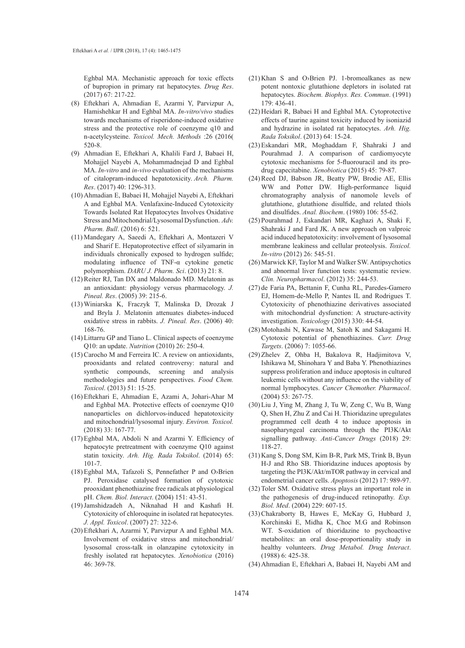Eghbal MA. Mechanistic approach for toxic effects of bupropion in primary rat hepatocytes. *Drug Res*. (2017) 67: 217-22.

- Eftekhari A, Ahmadian E, Azarmi Y, Parvizpur A, (8) Hamishehkar H and Eghbal MA. *In-vitro*/*vivo* studies towards mechanisms of risperidone-induced oxidative stress and the protective role of coenzyme q10 and n-acetylcysteine. *Toxicol. Mech. Methods* :26 (2016) 520-8.
- Ahmadian E, Eftekhari A, Khalili Fard J, Babaei H, (9) Mohajjel Nayebi A, Mohammadnejad D and Eghbal MA. *In-vitro* and *in-vivo* evaluation of the mechanisms of citalopram-induced hepatotoxicity. *Arch. Pharm. Res*. (2017) 40: 1296-313.
- (10) Ahmadian E, Babaei H, Mohajjel Nayebi A, Eftekhari A and Eghbal MA. Venlafaxine-Induced Cytotoxicity Towards Isolated Rat Hepatocytes Involves Oxidative Stress and Mitochondrial/Lysosomal Dysfunction. *Adv. Pharm. Bull*. (2016) 6: 521.
- Mandegary A, Saeedi A, Eftekhari A, Montazeri V (11) and Sharif E. Hepatoprotective effect of silyamarin in individuals chronically exposed to hydrogen sulfide; modulating influence of TNF-α cytokine genetic polymorphism. *DARU J. Pharm. Sci*. (2013) 21: 8.
- $(12)$  Reiter RJ, Tan DX and Maldonado MD. Melatonin as an antioxidant: physiology versus pharmacology. *J. Pineal. Res*. (2005) 39: 215-6.
- Winiarska K, Fraczyk T, Malinska D, Drozak J (13) and Bryla J. Melatonin attenuates diabetes-induced oxidative stress in rabbits. *J. Pineal. Res*. (2006) 40: 168-76.
- Littarru GP and Tiano L. Clinical aspects of coenzyme (14) Q10: an update. *Nutrition* (2010) 26: 250-4.
- $(15)$  Carocho M and Ferreira IC. A review on antioxidants, prooxidants and related controversy: natural and synthetic compounds, screening and analysis methodologies and future perspectives. *Food Chem. Toxicol*. (2013) 51: 15-25.
- Eftekhari E, Ahmadian E, Azami A, Johari-Ahar M (16) and Eghbal MA. Protective effects of coenzyme Q10 nanoparticles on dichlorvos-induced hepatotoxicity and mitochondrial/lysosomal injury. *Environ. Toxicol.* (2018) 33: 167-77.
- (17) Eghbal MA, Abdoli N and Azarmi Y. Efficiency of hepatocyte pretreatment with coenzyme Q10 against statin toxicity. *Arh. Hig. Rada Toksikol*. (2014) 65: 101-7.
- $(18)$  Eghbal MA, Tafazoli S, Pennefather P and O>Brien PJ. Peroxidase catalysed formation of cytotoxic prooxidant phenothiazine free radicals at physiological pH. *Chem. Biol. Interact*. (2004) 151: 43-51.
- (19) Jamshidzadeh A, Niknahad H and Kashafi H. Cytotoxicity of chloroquine in isolated rat hepatocytes. *J. Appl. Toxicol*. (2007) 27: 322-6.
- (20) Eftekhari A, Azarmi Y, Parvizpur A and Eghbal MA. Involvement of oxidative stress and mitochondrial/ lysosomal cross-talk in olanzapine cytotoxicity in freshly isolated rat hepatocytes. *Xenobiotica* (2016) 46: 369-78.
- $(21)$  Khan S and O>Brien PJ. 1-bromoalkanes as new potent nontoxic glutathione depletors in isolated rat hepatocytes. *Biochem. Biophys. Res. Commun*. (1991) 179: 436-41.
- (22) Heidari R, Babaei H and Eghbal MA. Cytoprotective effects of taurine against toxicity induced by isoniazid and hydrazine in isolated rat hepatocytes. *Arh. Hig. Rada Toksikol*. (2013) 64: 15-24.
- Eskandari MR, Moghaddam F, Shahraki J and (23) Pourahmad J. A comparison of cardiomyocyte cytotoxic mechanisms for 5-fluorouracil and its prodrug capecitabine. *Xenobiotica* (2015) 45: 79-87.
- (24) Reed DJ, Babson JR, Beatty PW, Brodie AE, Ellis WW and Potter DW. High-performance liquid chromatography analysis of nanomole levels of glutathione, glutathione disulfide, and related thiols and disulfides. *Anal. Biochem*. (1980) 106: 55-62.
- (25) Pourahmad J, Eskandari MR, Kaghazi A, Shaki F, Shahraki J and Fard JK. A new approach on valproic acid induced hepatotoxicity: involvement of lysosomal membrane leakiness and cellular proteolysis. *Toxicol. In-vitro* (2012) 26: 545-51.
- (26) Marwick KF, Taylor M and Walker SW. Antipsychotics and abnormal liver function tests: systematic review. *Clin. Neuropharmacol*. (2012) 35: 244-53.
- (27) de Faria PA, Bettanin F, Cunha RL, Paredes-Gamero EJ, Homem-de-Mello P, Nantes IL and Rodrigues T. Cytotoxicity of phenothiazine derivatives associated with mitochondrial dysfunction: A structure-activity investigation. *Toxicology* (2015) 330: 44-54.
- (28) Motohashi N, Kawase M, Satoh K and Sakagami H. Cytotoxic potential of phenothiazines. *Curr. Drug Targets*. (2006) 7: 1055-66.
- (29) Zhelev Z, Ohba H, Bakalova R, Hadjimitova V, Ishikawa M, Shinohara Y and Baba Y. Phenothiazines suppress proliferation and induce apoptosis in cultured leukemic cells without any influence on the viability of normal lymphocytes. *Cancer Chemother. Pharmacol*. (2004) 53: 267-75.
- (30) Liu J, Ying M, Zhang J, Tu W, Zeng C, Wu B, Wang Q, Shen H, Zhu Z and Cai H. Thioridazine upregulates programmed cell death 4 to induce apoptosis in nasopharyngeal carcinoma through the PI3K/Akt signalling pathway. *Anti-Cancer Drugs* (2018) 29: 118-27.
- (31) Kang S, Dong SM, Kim B-R, Park MS, Trink B, Byun H-J and Rho SB. Thioridazine induces apoptosis by targeting the PI3K/Akt/mTOR pathway in cervical and endometrial cancer cells. *Apoptosis* (2012) 17: 989-97.
- (32) Toler SM. Oxidative stress plays an important role in the pathogenesis of drug-induced retinopathy. *Exp. Biol. Med*. (2004) 229: 607-15.
- (33) Chakraborty B, Hawes E, McKay G, Hubbard J, Korchinski E, Midha K, Choc M.G and Robinson WT. S-oxidation of thioridazine to psychoactive metabolites: an oral dose-proportionality study in healthy volunteers. *Drug Metabol. Drug Interact*. (1988) 6: 425-38.
- (34) Ahmadian E, Eftekhari A, Babaei H, Nayebi AM and